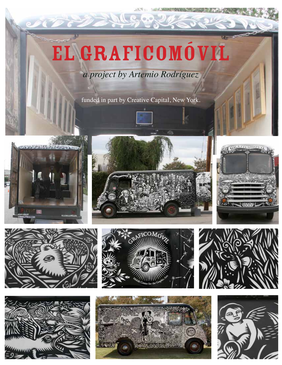# EL GRAFICOMóVIL

*a project by Artemio Rodríguez*

funded in part by Creative Capital, New York.

















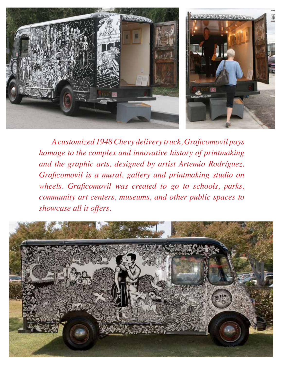

 *Acustomized 1948Chevy delivery truck, Grafcomovil pays homage to the complex and innovative history of printmaking and the graphic arts, designed by artist Artemio Rodríguez, Grafcomovil is a mural, gallery and printmaking studio on wheels. Grafcomovil was created to go to schools, parks, community art centers, museums, and other public spaces to showcase all it offers.* 

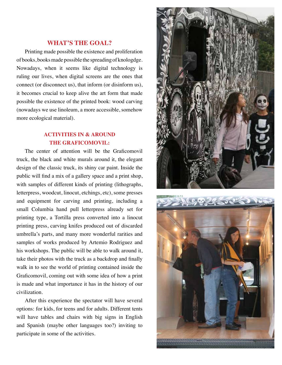#### **WHAT'S THE GOAL?**

Printing made possible the existence and proliferation of books, books made possible the spreading of knologdge. Nowadays, when it seems like digital technology is ruling our lives, when digital screens are the ones that connect (or disconnect us), that inform (or disinform us), it becomes crucial to keep alive the art form that made possible the existence of the printed book: wood carving (nowadays we use linoleum, a more accessible, somehow more ecological material).

#### **ACTIVITIES IN & AROUND THE GRAFICOMOVIL:**

 The center of attention will be the Grafcomovil truck, the black and white murals around it, the elegant design of the classic truck, its shiny car paint. Inside the public will fnd a mix of a gallery space and a print shop, with samples of different kinds of printing (lithographs, letterpress, woodcut, linocut, etchings, etc), some presses and equipment for carving and printing, including a small Columbia hand pull letterpress already set for printing type, a Tortilla press converted into a linocut printing press, carving knifes produced out of discarded umbrella's parts, and many more wonderful rarities and samples of works produced by Artemio Rodriguez and his workshops. The public will be able to walk around it, take their photos with the truck as a backdrop and fnally walk in to see the world of printing contained inside the Grafcomovil, coming out with some idea of how a print is made and what importance it has in the history of our civilization.

After this experience the spectator will have several options: for kids, for teens and for adults. Different tents will have tables and chairs with big signs in English and Spanish (maybe other languages too?) inviting to participate in some of the activities.



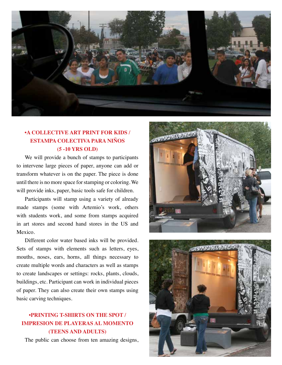

#### **•A collective Art print for Kids / estAmpA colectivA pArA niños (5 -10 YRS OLD)**

We will provide a bunch of stamps to participants to intervene large pieces of paper, anyone can add or transform whatever is on the paper. The piece is done until there is no more space for stamping or coloring. We will provide inks, paper, basic tools safe for children.

Participants will stamp using a variety of already made stamps (some with Artemio's work, others with students work, and some from stamps acquired in art stores and second hand stores in the US and Mexico.

Different color water based inks will be provided. Sets of stamps with elements such as letters, eyes, mouths, noses, ears, horns, all things necessary to create multiple words and characters as well as stamps to create landscapes or settings: rocks, plants, clouds, buildings, etc. Participant can work in individual pieces of paper. They can also create their own stamps using basic carving techniques.

## **•printing t-shirts on the spot / impresion de plAyerAs Al momento (TEENS AND ADULTS)**

The public can choose from ten amazing designs,